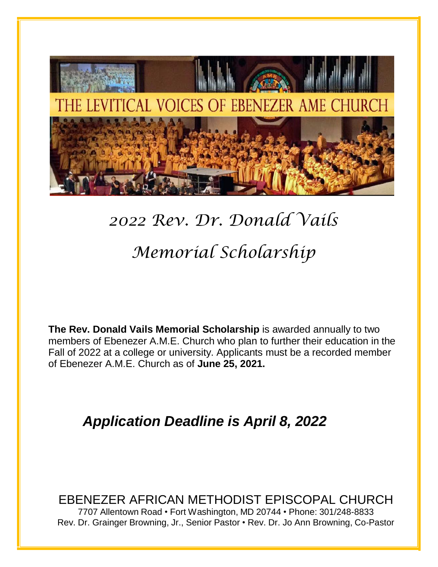

# *2022 Rev. Dr. Donald Vails Memorial Scholarship*

**The Rev. Donald Vails Memorial Scholarship** is awarded annually to two members of Ebenezer A.M.E. Church who plan to further their education in the Fall of 2022 at a college or university. Applicants must be a recorded member of Ebenezer A.M.E. Church as of **June 25, 2021.**

## *Application Deadline is April 8, 2022*

EBENEZER AFRICAN METHODIST EPISCOPAL CHURCH 7707 Allentown Road • Fort Washington, MD 20744 • Phone: 301/248-8833 Rev. Dr. Grainger Browning, Jr., Senior Pastor • Rev. Dr. Jo Ann Browning, Co-Pastor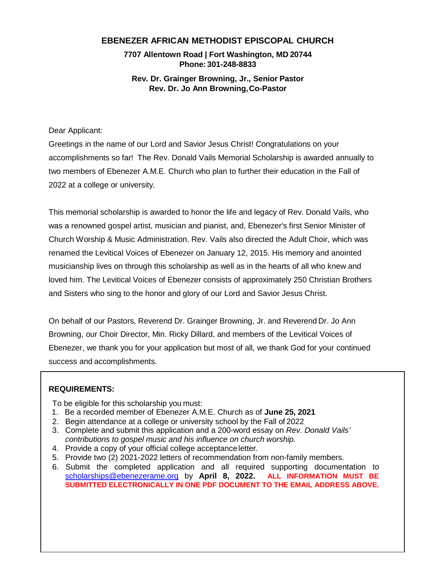## **EBENEZER AFRICAN METHODIST EPISCOPAL CHURCH**

**7707 Allentown Road | Fort Washington, MD 20744 Phone: 301-248-8833**

**Rev. Dr. Grainger Browning, Jr., Senior Pastor Rev. Dr. Jo Ann Browning,Co-Pastor**

Dear Applicant:

Greetings in the name of our Lord and Savior Jesus Christ! Congratulations on your accomplishments so far! The Rev. Donald Vails Memorial Scholarship is awarded annually to two members of Ebenezer A.M.E. Church who plan to further their education in the Fall of 2022 at a college or university.

This memorial scholarship is awarded to honor the life and legacy of Rev. Donald Vails, who was a renowned gospel artist, musician and pianist, and, Ebenezer's first Senior Minister of Church Worship & Music Administration. Rev. Vails also directed the Adult Choir, which was renamed the Levitical Voices of Ebenezer on January 12, 2015. His memory and anointed musicianship lives on through this scholarship as well as in the hearts of all who knew and loved him. The Levitical Voices of Ebenezer consists of approximately 250 Christian Brothers and Sisters who sing to the honor and glory of our Lord and Savior Jesus Christ.

On behalf of our Pastors, Reverend Dr. Grainger Browning, Jr. and Reverend Dr. Jo Ann Browning, our Choir Director, Min. Ricky Dillard, and members of the Levitical Voices of Ebenezer, we thank you for your application but most of all, we thank God for your continued success and accomplishments.

#### **REQUIREMENTS:**

To be eligible for this scholarship you must:

- 1. Be a recorded member of Ebenezer A.M.E. Church as of **June 25, 2021**
- 2. Begin attendance at a college or university school by the Fall of 2022
- 3. Complete and submit this application and a 200-word essay on *Rev. Donald Vails' contributions to gospel music and his influence on church worship.*
- 4. Provide a copy of your official college acceptance letter.
- 5. Provide two (2) 2021-2022 letters of recommendation from non-family members.
- 6. Submit the completed application and all required supporting documentation to [scholarships@ebenezerame.org](mailto:scholarships@ebenezerame.org) by **April 8, 2022. ALL INFORMATION MUST BE SUBMITTED ELECTRONICALLY IN ONE PDF DOCUMENT TO THE EMAIL ADDRESS ABOVE.**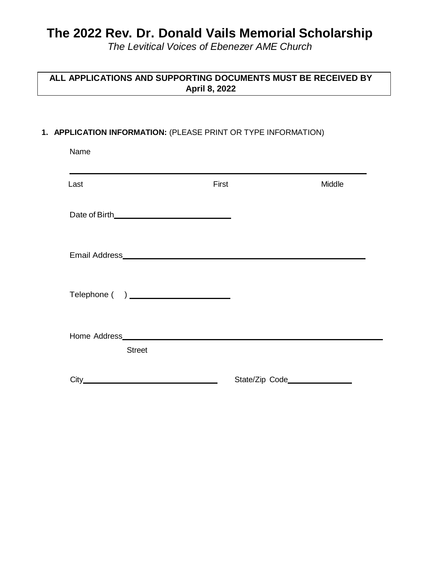## **The 2022 Rev. Dr. Donald Vails Memorial Scholarship**

*The Levitical Voices of Ebenezer AME Church*

## **ALL APPLICATIONS AND SUPPORTING DOCUMENTS MUST BE RECEIVED BY April 8, 2022**

## **1. APPLICATION INFORMATION:** (PLEASE PRINT OR TYPE INFORMATION)

| Name                                                                                                                                                                                                                                                  |       |        |
|-------------------------------------------------------------------------------------------------------------------------------------------------------------------------------------------------------------------------------------------------------|-------|--------|
| Last                                                                                                                                                                                                                                                  | First | Middle |
|                                                                                                                                                                                                                                                       |       |        |
|                                                                                                                                                                                                                                                       |       |        |
|                                                                                                                                                                                                                                                       |       |        |
| Home Address <b>Executive Service Service Service Service Service Service Service Service Service Service Service Service Service Service Service Service Service Service Service Service Service Service Service Service Servic</b><br><b>Street</b> |       |        |
| $City$ and $x$ and $x$ and $x$ and $x$ and $x$ and $x$ and $x$ and $x$ and $x$ and $x$ and $x$ and $x$ and $x$ and $x$ and $x$ and $x$ and $x$ and $x$ and $x$ and $x$ and $x$ and $x$ and $x$ and $x$ and $x$ and $x$ and $x$ a                      |       |        |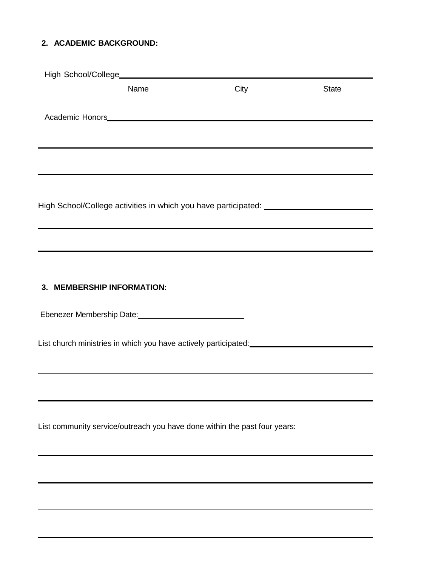## **2. ACADEMIC BACKGROUND:**

| Name                                                                             | City                                                                             | <b>State</b> |
|----------------------------------------------------------------------------------|----------------------------------------------------------------------------------|--------------|
|                                                                                  |                                                                                  |              |
|                                                                                  |                                                                                  |              |
|                                                                                  |                                                                                  |              |
|                                                                                  |                                                                                  |              |
|                                                                                  |                                                                                  |              |
|                                                                                  |                                                                                  |              |
| High School/College activities in which you have participated: _________________ |                                                                                  |              |
|                                                                                  |                                                                                  |              |
|                                                                                  |                                                                                  |              |
|                                                                                  | ,我们也不会有什么。""我们的人,我们也不会有什么?""我们的人,我们也不会有什么?""我们的人,我们也不会有什么?""我们的人,我们也不会有什么?""我们的人 |              |
|                                                                                  |                                                                                  |              |
| 3. MEMBERSHIP INFORMATION:                                                       |                                                                                  |              |
|                                                                                  |                                                                                  |              |
|                                                                                  |                                                                                  |              |
|                                                                                  |                                                                                  |              |
|                                                                                  |                                                                                  |              |
|                                                                                  |                                                                                  |              |
|                                                                                  |                                                                                  |              |
|                                                                                  |                                                                                  |              |
|                                                                                  |                                                                                  |              |
| List community service/outreach you have done within the past four years:        |                                                                                  |              |
|                                                                                  |                                                                                  |              |
|                                                                                  |                                                                                  |              |